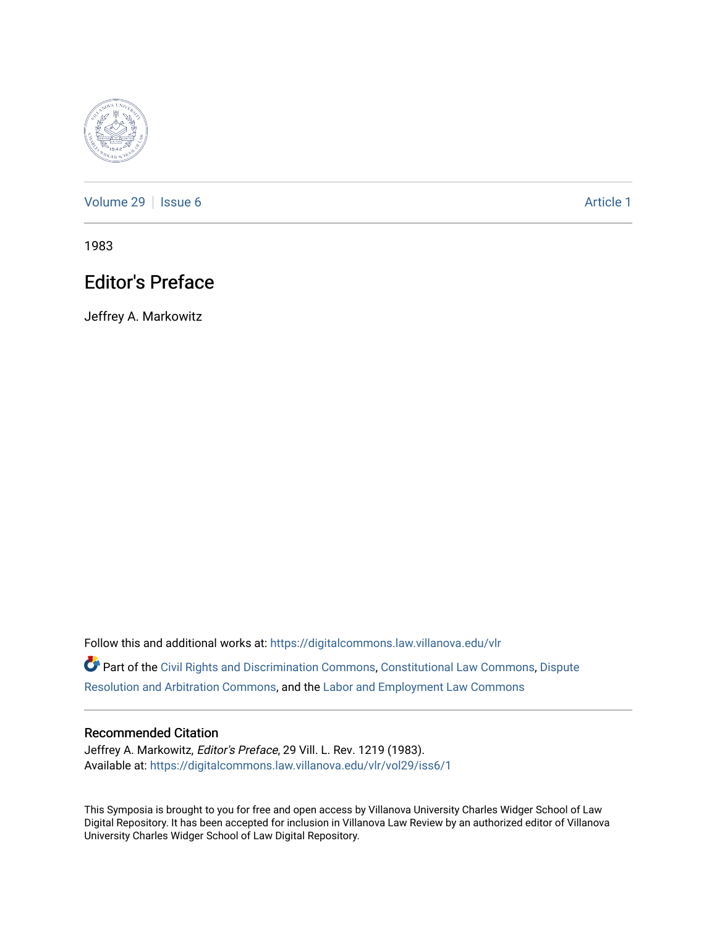

[Volume 29](https://digitalcommons.law.villanova.edu/vlr/vol29) | [Issue 6](https://digitalcommons.law.villanova.edu/vlr/vol29/iss6) Article 1

1983

## Editor's Preface

Jeffrey A. Markowitz

Follow this and additional works at: [https://digitalcommons.law.villanova.edu/vlr](https://digitalcommons.law.villanova.edu/vlr?utm_source=digitalcommons.law.villanova.edu%2Fvlr%2Fvol29%2Fiss6%2F1&utm_medium=PDF&utm_campaign=PDFCoverPages)

Part of the [Civil Rights and Discrimination Commons,](http://network.bepress.com/hgg/discipline/585?utm_source=digitalcommons.law.villanova.edu%2Fvlr%2Fvol29%2Fiss6%2F1&utm_medium=PDF&utm_campaign=PDFCoverPages) [Constitutional Law Commons,](http://network.bepress.com/hgg/discipline/589?utm_source=digitalcommons.law.villanova.edu%2Fvlr%2Fvol29%2Fiss6%2F1&utm_medium=PDF&utm_campaign=PDFCoverPages) [Dispute](http://network.bepress.com/hgg/discipline/890?utm_source=digitalcommons.law.villanova.edu%2Fvlr%2Fvol29%2Fiss6%2F1&utm_medium=PDF&utm_campaign=PDFCoverPages) [Resolution and Arbitration Commons](http://network.bepress.com/hgg/discipline/890?utm_source=digitalcommons.law.villanova.edu%2Fvlr%2Fvol29%2Fiss6%2F1&utm_medium=PDF&utm_campaign=PDFCoverPages), and the [Labor and Employment Law Commons](http://network.bepress.com/hgg/discipline/909?utm_source=digitalcommons.law.villanova.edu%2Fvlr%2Fvol29%2Fiss6%2F1&utm_medium=PDF&utm_campaign=PDFCoverPages)

## Recommended Citation

Jeffrey A. Markowitz, Editor's Preface, 29 Vill. L. Rev. 1219 (1983). Available at: [https://digitalcommons.law.villanova.edu/vlr/vol29/iss6/1](https://digitalcommons.law.villanova.edu/vlr/vol29/iss6/1?utm_source=digitalcommons.law.villanova.edu%2Fvlr%2Fvol29%2Fiss6%2F1&utm_medium=PDF&utm_campaign=PDFCoverPages) 

This Symposia is brought to you for free and open access by Villanova University Charles Widger School of Law Digital Repository. It has been accepted for inclusion in Villanova Law Review by an authorized editor of Villanova University Charles Widger School of Law Digital Repository.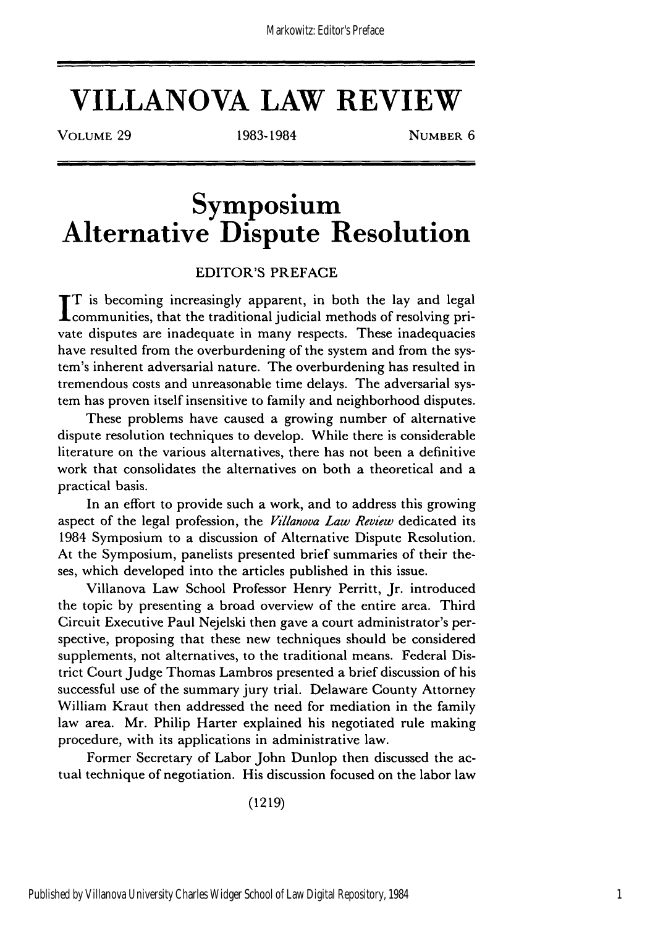**VILLANOVA LAW REVIEW**

VOLUME 29 1983-1984 NUMBER 6

**Symposium Alternative Dispute Resolution**

## EDITOR'S PREFACE

**IT** is becoming increasingly apparent, in both the lay and legal **L** communities, that the traditional judicial methods of resolving private disputes are inadequate in many respects. These inadequacies have resulted from the overburdening of the system and from the system's inherent adversarial nature. The overburdening has resulted in tremendous costs and unreasonable time delays. The adversarial system has proven itself insensitive to family and neighborhood disputes.

These problems have caused a growing number of alternative dispute resolution techniques to develop. While there is considerable literature on the various alternatives, there has not been a definitive work that consolidates the alternatives on both a theoretical and a practical basis.

In an effort to provide such a work, and to address this growing aspect of the legal profession, the *Villanova Law Review* dedicated its 1984 Symposium to a discussion of Alternative Dispute Resolution. At the Symposium, panelists presented brief summaries of their theses, which developed into the articles published in this issue.

Villanova Law School Professor Henry Perritt, Jr. introduced the topic by presenting a broad overview of the entire area. Third Circuit Executive Paul Nejelski then gave a court administrator's perspective, proposing that these new techniques should be considered supplements, not alternatives, to the traditional means. Federal District Court Judge Thomas Lambros presented a brief discussion of his successful use of the summary jury trial. Delaware County Attorney William Kraut then addressed the need for mediation in the family law area. Mr. Philip Harter explained his negotiated rule making procedure, with its applications in administrative law.

Former Secretary of Labor John Dunlop then discussed the actual technique of negotiation. His discussion focused on the labor law

(1219)